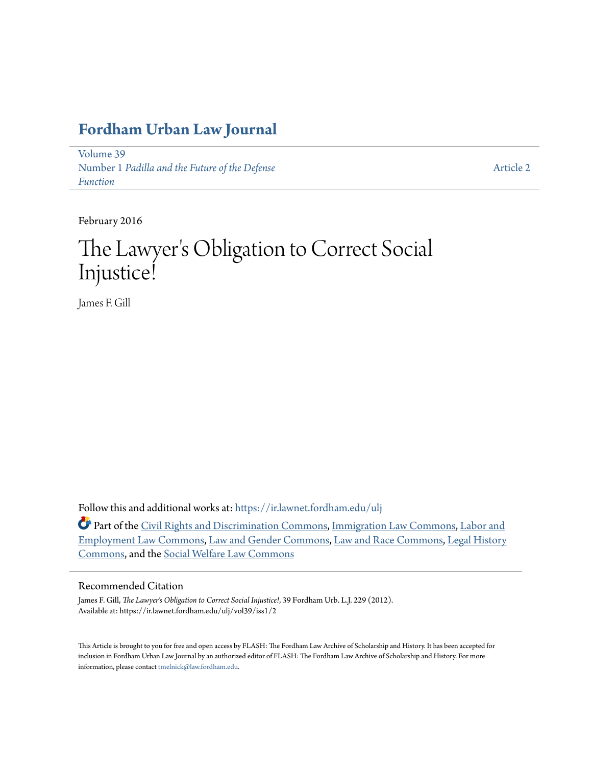# **[Fordham Urban Law Journal](https://ir.lawnet.fordham.edu/ulj?utm_source=ir.lawnet.fordham.edu%2Fulj%2Fvol39%2Fiss1%2F2&utm_medium=PDF&utm_campaign=PDFCoverPages)**

[Volume 39](https://ir.lawnet.fordham.edu/ulj/vol39?utm_source=ir.lawnet.fordham.edu%2Fulj%2Fvol39%2Fiss1%2F2&utm_medium=PDF&utm_campaign=PDFCoverPages) Number 1 *[Padilla and the Future of the Defense](https://ir.lawnet.fordham.edu/ulj/vol39/iss1?utm_source=ir.lawnet.fordham.edu%2Fulj%2Fvol39%2Fiss1%2F2&utm_medium=PDF&utm_campaign=PDFCoverPages) [Function](https://ir.lawnet.fordham.edu/ulj/vol39/iss1?utm_source=ir.lawnet.fordham.edu%2Fulj%2Fvol39%2Fiss1%2F2&utm_medium=PDF&utm_campaign=PDFCoverPages)*

[Article 2](https://ir.lawnet.fordham.edu/ulj/vol39/iss1/2?utm_source=ir.lawnet.fordham.edu%2Fulj%2Fvol39%2Fiss1%2F2&utm_medium=PDF&utm_campaign=PDFCoverPages)

February 2016

# The Lawyer 's Obligation to Correct Social Injustice!

James F. Gill

Follow this and additional works at: [https://ir.lawnet.fordham.edu/ulj](https://ir.lawnet.fordham.edu/ulj?utm_source=ir.lawnet.fordham.edu%2Fulj%2Fvol39%2Fiss1%2F2&utm_medium=PDF&utm_campaign=PDFCoverPages)

Part of the [Civil Rights and Discrimination Commons,](http://network.bepress.com/hgg/discipline/585?utm_source=ir.lawnet.fordham.edu%2Fulj%2Fvol39%2Fiss1%2F2&utm_medium=PDF&utm_campaign=PDFCoverPages) [Immigration Law Commons](http://network.bepress.com/hgg/discipline/604?utm_source=ir.lawnet.fordham.edu%2Fulj%2Fvol39%2Fiss1%2F2&utm_medium=PDF&utm_campaign=PDFCoverPages), [Labor and](http://network.bepress.com/hgg/discipline/909?utm_source=ir.lawnet.fordham.edu%2Fulj%2Fvol39%2Fiss1%2F2&utm_medium=PDF&utm_campaign=PDFCoverPages) [Employment Law Commons](http://network.bepress.com/hgg/discipline/909?utm_source=ir.lawnet.fordham.edu%2Fulj%2Fvol39%2Fiss1%2F2&utm_medium=PDF&utm_campaign=PDFCoverPages), [Law and Gender Commons,](http://network.bepress.com/hgg/discipline/1298?utm_source=ir.lawnet.fordham.edu%2Fulj%2Fvol39%2Fiss1%2F2&utm_medium=PDF&utm_campaign=PDFCoverPages) [Law and Race Commons](http://network.bepress.com/hgg/discipline/1300?utm_source=ir.lawnet.fordham.edu%2Fulj%2Fvol39%2Fiss1%2F2&utm_medium=PDF&utm_campaign=PDFCoverPages), [Legal History](http://network.bepress.com/hgg/discipline/904?utm_source=ir.lawnet.fordham.edu%2Fulj%2Fvol39%2Fiss1%2F2&utm_medium=PDF&utm_campaign=PDFCoverPages) [Commons,](http://network.bepress.com/hgg/discipline/904?utm_source=ir.lawnet.fordham.edu%2Fulj%2Fvol39%2Fiss1%2F2&utm_medium=PDF&utm_campaign=PDFCoverPages) and the [Social Welfare Law Commons](http://network.bepress.com/hgg/discipline/878?utm_source=ir.lawnet.fordham.edu%2Fulj%2Fvol39%2Fiss1%2F2&utm_medium=PDF&utm_campaign=PDFCoverPages)

#### Recommended Citation

James F. Gill, *The Lawyer's Obligation to Correct Social Injustice!*, 39 Fordham Urb. L.J. 229 (2012). Available at: https://ir.lawnet.fordham.edu/ulj/vol39/iss1/2

This Article is brought to you for free and open access by FLASH: The Fordham Law Archive of Scholarship and History. It has been accepted for inclusion in Fordham Urban Law Journal by an authorized editor of FLASH: The Fordham Law Archive of Scholarship and History. For more information, please contact [tmelnick@law.fordham.edu](mailto:tmelnick@law.fordham.edu).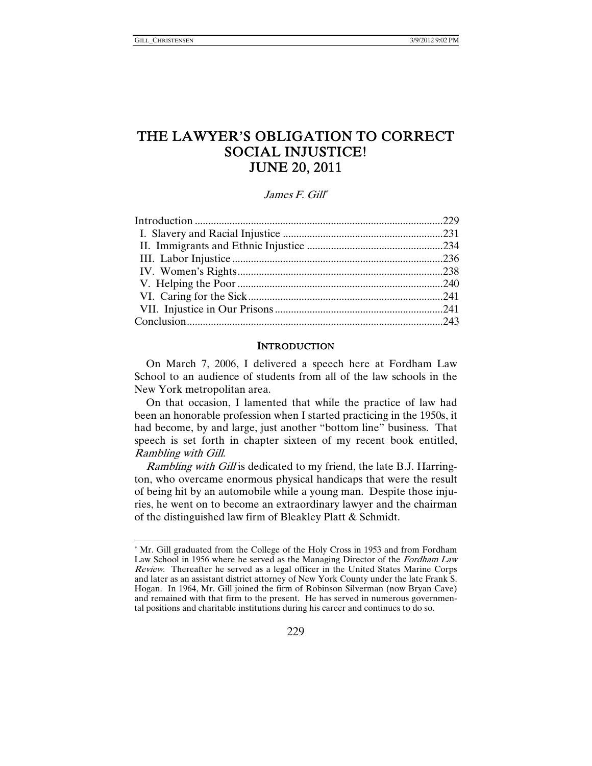l

## THE LAWYER'S OBLIGATION TO CORRECT SOCIAL INJUSTICE! JUNE 20, 2011

James F. Gill\*

#### **INTRODUCTION**

On March 7, 2006, I delivered a speech here at Fordham Law School to an audience of students from all of the law schools in the New York metropolitan area.

On that occasion, I lamented that while the practice of law had been an honorable profession when I started practicing in the 1950s, it had become, by and large, just another "bottom line" business. That speech is set forth in chapter sixteen of my recent book entitled, Rambling with Gill.

Rambling with Gill is dedicated to my friend, the late B.J. Harrington, who overcame enormous physical handicaps that were the result of being hit by an automobile while a young man. Despite those injuries, he went on to become an extraordinary lawyer and the chairman of the distinguished law firm of Bleakley Platt & Schmidt.

<sup>\*</sup> Mr. Gill graduated from the College of the Holy Cross in 1953 and from Fordham Law School in 1956 where he served as the Managing Director of the Fordham Law Review. Thereafter he served as a legal officer in the United States Marine Corps and later as an assistant district attorney of New York County under the late Frank S. Hogan. In 1964, Mr. Gill joined the firm of Robinson Silverman (now Bryan Cave) and remained with that firm to the present. He has served in numerous governmental positions and charitable institutions during his career and continues to do so.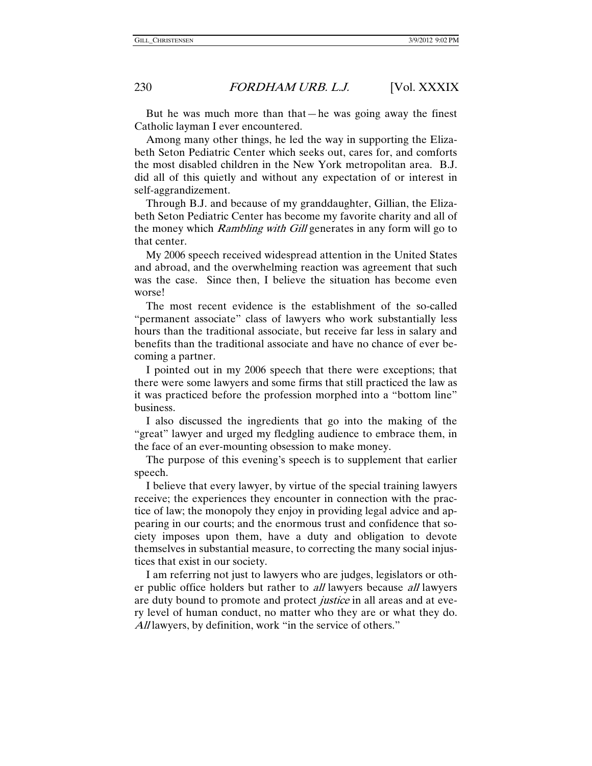But he was much more than that—he was going away the finest Catholic layman I ever encountered.

Among many other things, he led the way in supporting the Elizabeth Seton Pediatric Center which seeks out, cares for, and comforts the most disabled children in the New York metropolitan area. B.J. did all of this quietly and without any expectation of or interest in self-aggrandizement.

Through B.J. and because of my granddaughter, Gillian, the Elizabeth Seton Pediatric Center has become my favorite charity and all of the money which *Rambling with Gill* generates in any form will go to that center.

My 2006 speech received widespread attention in the United States and abroad, and the overwhelming reaction was agreement that such was the case. Since then, I believe the situation has become even worse!

The most recent evidence is the establishment of the so-called "permanent associate" class of lawyers who work substantially less hours than the traditional associate, but receive far less in salary and benefits than the traditional associate and have no chance of ever becoming a partner.

I pointed out in my 2006 speech that there were exceptions; that there were some lawyers and some firms that still practiced the law as it was practiced before the profession morphed into a "bottom line" business.

I also discussed the ingredients that go into the making of the "great" lawyer and urged my fledgling audience to embrace them, in the face of an ever-mounting obsession to make money.

The purpose of this evening's speech is to supplement that earlier speech.

I believe that every lawyer, by virtue of the special training lawyers receive; the experiences they encounter in connection with the practice of law; the monopoly they enjoy in providing legal advice and appearing in our courts; and the enormous trust and confidence that society imposes upon them, have a duty and obligation to devote themselves in substantial measure, to correcting the many social injustices that exist in our society.

I am referring not just to lawyers who are judges, legislators or other public office holders but rather to *all* lawyers because *all* lawyers are duty bound to promote and protect *justice* in all areas and at every level of human conduct, no matter who they are or what they do. All lawyers, by definition, work "in the service of others."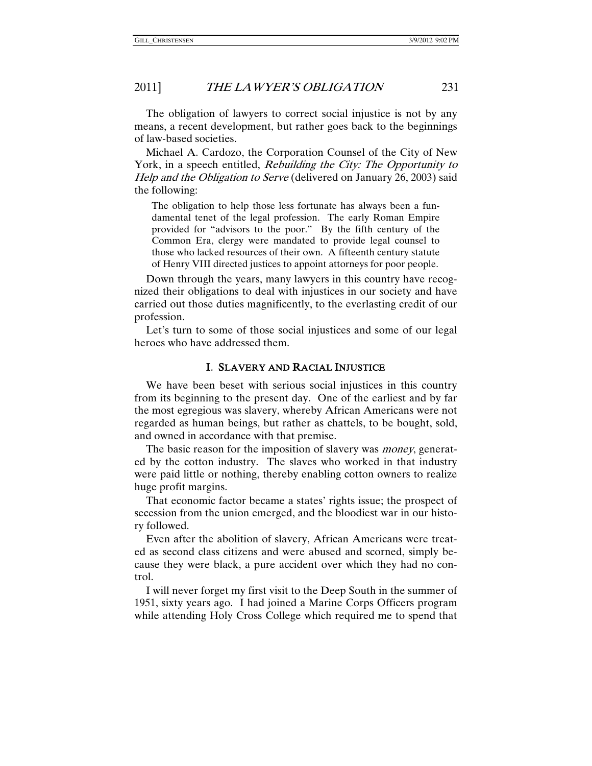The obligation of lawyers to correct social injustice is not by any means, a recent development, but rather goes back to the beginnings of law-based societies.

Michael A. Cardozo, the Corporation Counsel of the City of New York, in a speech entitled, *Rebuilding the City: The Opportunity to* Help and the Obligation to Serve (delivered on January 26, 2003) said the following:

The obligation to help those less fortunate has always been a fundamental tenet of the legal profession. The early Roman Empire provided for "advisors to the poor." By the fifth century of the Common Era, clergy were mandated to provide legal counsel to those who lacked resources of their own. A fifteenth century statute of Henry VIII directed justices to appoint attorneys for poor people.

Down through the years, many lawyers in this country have recognized their obligations to deal with injustices in our society and have carried out those duties magnificently, to the everlasting credit of our profession.

Let's turn to some of those social injustices and some of our legal heroes who have addressed them.

#### I. SLAVERY AND RACIAL INJUSTICE

We have been beset with serious social injustices in this country from its beginning to the present day. One of the earliest and by far the most egregious was slavery, whereby African Americans were not regarded as human beings, but rather as chattels, to be bought, sold, and owned in accordance with that premise.

The basic reason for the imposition of slavery was *money*, generated by the cotton industry. The slaves who worked in that industry were paid little or nothing, thereby enabling cotton owners to realize huge profit margins.

That economic factor became a states' rights issue; the prospect of secession from the union emerged, and the bloodiest war in our history followed.

Even after the abolition of slavery, African Americans were treated as second class citizens and were abused and scorned, simply because they were black, a pure accident over which they had no control.

I will never forget my first visit to the Deep South in the summer of 1951, sixty years ago. I had joined a Marine Corps Officers program while attending Holy Cross College which required me to spend that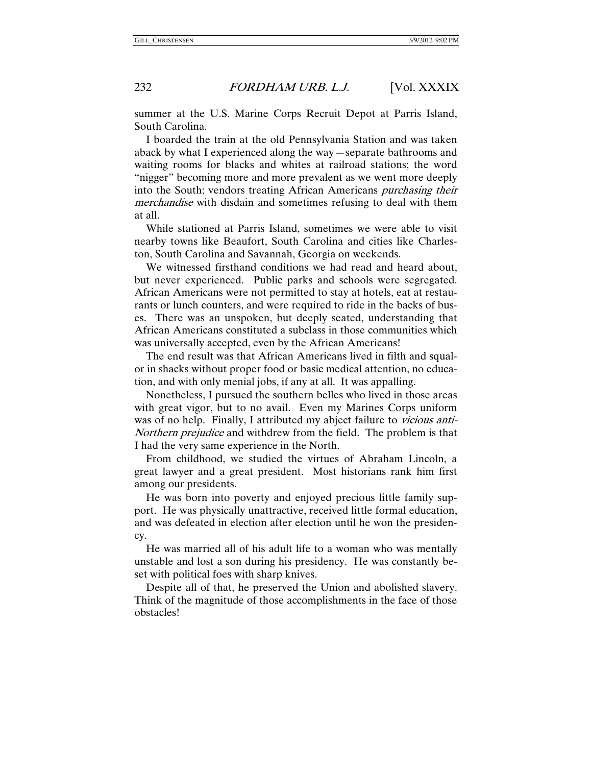summer at the U.S. Marine Corps Recruit Depot at Parris Island, South Carolina.

I boarded the train at the old Pennsylvania Station and was taken aback by what I experienced along the way—separate bathrooms and waiting rooms for blacks and whites at railroad stations; the word "nigger" becoming more and more prevalent as we went more deeply into the South; vendors treating African Americans *purchasing their* merchandise with disdain and sometimes refusing to deal with them at all.

While stationed at Parris Island, sometimes we were able to visit nearby towns like Beaufort, South Carolina and cities like Charleston, South Carolina and Savannah, Georgia on weekends.

We witnessed firsthand conditions we had read and heard about, but never experienced. Public parks and schools were segregated. African Americans were not permitted to stay at hotels, eat at restaurants or lunch counters, and were required to ride in the backs of buses. There was an unspoken, but deeply seated, understanding that African Americans constituted a subclass in those communities which was universally accepted, even by the African Americans!

The end result was that African Americans lived in filth and squalor in shacks without proper food or basic medical attention, no education, and with only menial jobs, if any at all. It was appalling.

Nonetheless, I pursued the southern belles who lived in those areas with great vigor, but to no avail. Even my Marines Corps uniform was of no help. Finally, I attributed my abject failure to *vicious anti*-Northern prejudice and withdrew from the field. The problem is that I had the very same experience in the North.

From childhood, we studied the virtues of Abraham Lincoln, a great lawyer and a great president. Most historians rank him first among our presidents.

He was born into poverty and enjoyed precious little family support. He was physically unattractive, received little formal education, and was defeated in election after election until he won the presidency.

He was married all of his adult life to a woman who was mentally unstable and lost a son during his presidency. He was constantly beset with political foes with sharp knives.

Despite all of that, he preserved the Union and abolished slavery. Think of the magnitude of those accomplishments in the face of those obstacles!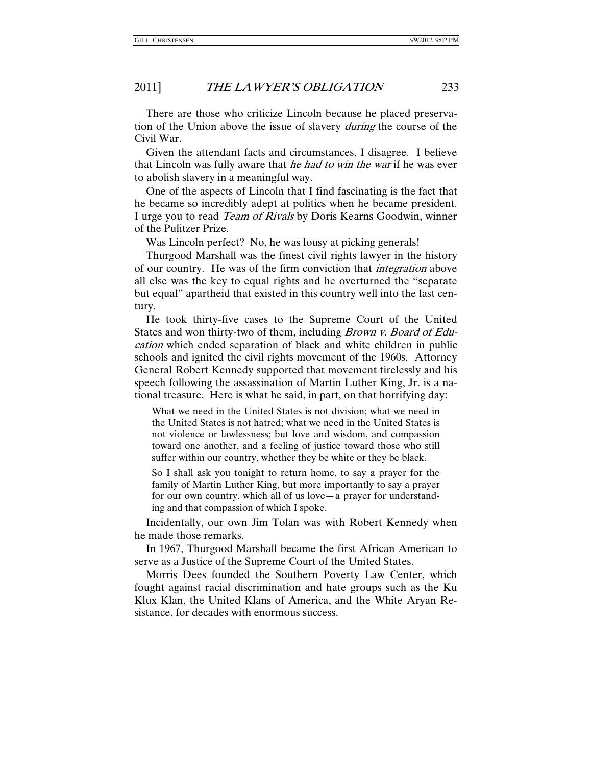There are those who criticize Lincoln because he placed preservation of the Union above the issue of slavery *during* the course of the Civil War.

Given the attendant facts and circumstances, I disagree. I believe that Lincoln was fully aware that he had to win the war if he was ever to abolish slavery in a meaningful way.

One of the aspects of Lincoln that I find fascinating is the fact that he became so incredibly adept at politics when he became president. I urge you to read Team of Rivals by Doris Kearns Goodwin, winner of the Pulitzer Prize.

Was Lincoln perfect? No, he was lousy at picking generals!

Thurgood Marshall was the finest civil rights lawyer in the history of our country. He was of the firm conviction that integration above all else was the key to equal rights and he overturned the "separate but equal" apartheid that existed in this country well into the last century.

He took thirty-five cases to the Supreme Court of the United States and won thirty-two of them, including *Brown v. Board of Edu*cation which ended separation of black and white children in public schools and ignited the civil rights movement of the 1960s. Attorney General Robert Kennedy supported that movement tirelessly and his speech following the assassination of Martin Luther King, Jr. is a national treasure. Here is what he said, in part, on that horrifying day:

What we need in the United States is not division; what we need in the United States is not hatred; what we need in the United States is not violence or lawlessness; but love and wisdom, and compassion toward one another, and a feeling of justice toward those who still suffer within our country, whether they be white or they be black.

So I shall ask you tonight to return home, to say a prayer for the family of Martin Luther King, but more importantly to say a prayer for our own country, which all of us love—a prayer for understanding and that compassion of which I spoke.

Incidentally, our own Jim Tolan was with Robert Kennedy when he made those remarks.

In 1967, Thurgood Marshall became the first African American to serve as a Justice of the Supreme Court of the United States.

Morris Dees founded the Southern Poverty Law Center, which fought against racial discrimination and hate groups such as the Ku Klux Klan, the United Klans of America, and the White Aryan Resistance, for decades with enormous success.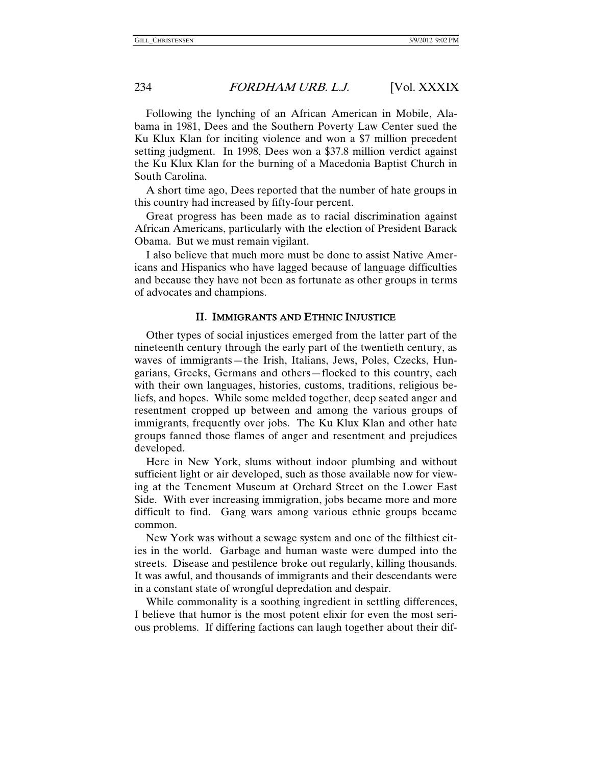Following the lynching of an African American in Mobile, Alabama in 1981, Dees and the Southern Poverty Law Center sued the Ku Klux Klan for inciting violence and won a \$7 million precedent setting judgment. In 1998, Dees won a \$37.8 million verdict against the Ku Klux Klan for the burning of a Macedonia Baptist Church in South Carolina.

A short time ago, Dees reported that the number of hate groups in this country had increased by fifty-four percent.

Great progress has been made as to racial discrimination against African Americans, particularly with the election of President Barack Obama. But we must remain vigilant.

I also believe that much more must be done to assist Native Americans and Hispanics who have lagged because of language difficulties and because they have not been as fortunate as other groups in terms of advocates and champions.

#### II. IMMIGRANTS AND ETHNIC INJUSTICE

Other types of social injustices emerged from the latter part of the nineteenth century through the early part of the twentieth century, as waves of immigrants—the Irish, Italians, Jews, Poles, Czecks, Hungarians, Greeks, Germans and others—flocked to this country, each with their own languages, histories, customs, traditions, religious beliefs, and hopes. While some melded together, deep seated anger and resentment cropped up between and among the various groups of immigrants, frequently over jobs. The Ku Klux Klan and other hate groups fanned those flames of anger and resentment and prejudices developed.

Here in New York, slums without indoor plumbing and without sufficient light or air developed, such as those available now for viewing at the Tenement Museum at Orchard Street on the Lower East Side. With ever increasing immigration, jobs became more and more difficult to find. Gang wars among various ethnic groups became common.

New York was without a sewage system and one of the filthiest cities in the world. Garbage and human waste were dumped into the streets. Disease and pestilence broke out regularly, killing thousands. It was awful, and thousands of immigrants and their descendants were in a constant state of wrongful depredation and despair.

While commonality is a soothing ingredient in settling differences, I believe that humor is the most potent elixir for even the most serious problems. If differing factions can laugh together about their dif-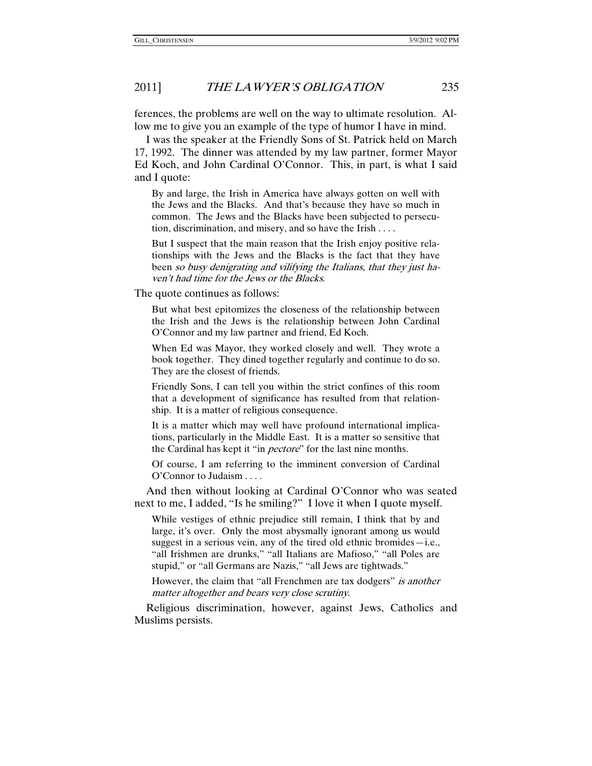ferences, the problems are well on the way to ultimate resolution. Allow me to give you an example of the type of humor I have in mind.

I was the speaker at the Friendly Sons of St. Patrick held on March 17, 1992. The dinner was attended by my law partner, former Mayor Ed Koch, and John Cardinal O'Connor. This, in part, is what I said and I quote:

By and large, the Irish in America have always gotten on well with the Jews and the Blacks. And that's because they have so much in common. The Jews and the Blacks have been subjected to persecution, discrimination, and misery, and so have the Irish . . . .

But I suspect that the main reason that the Irish enjoy positive relationships with the Jews and the Blacks is the fact that they have been so busy denigrating and vilifying the Italians, that they just haven't had time for the Jews or the Blacks.

The quote continues as follows:

But what best epitomizes the closeness of the relationship between the Irish and the Jews is the relationship between John Cardinal O'Connor and my law partner and friend, Ed Koch.

When Ed was Mayor, they worked closely and well. They wrote a book together. They dined together regularly and continue to do so. They are the closest of friends.

Friendly Sons, I can tell you within the strict confines of this room that a development of significance has resulted from that relationship. It is a matter of religious consequence.

It is a matter which may well have profound international implications, particularly in the Middle East. It is a matter so sensitive that the Cardinal has kept it "in *pectore*" for the last nine months.

Of course, I am referring to the imminent conversion of Cardinal O'Connor to Judaism . . . .

And then without looking at Cardinal O'Connor who was seated next to me, I added, "Is he smiling?" I love it when I quote myself.

While vestiges of ethnic prejudice still remain, I think that by and large, it's over. Only the most abysmally ignorant among us would suggest in a serious vein, any of the tired old ethnic bromides—i.e., "all Irishmen are drunks," "all Italians are Mafioso," "all Poles are stupid," or "all Germans are Nazis," "all Jews are tightwads."

However, the claim that "all Frenchmen are tax dodgers" is another matter altogether and bears very close scrutiny.

Religious discrimination, however, against Jews, Catholics and Muslims persists.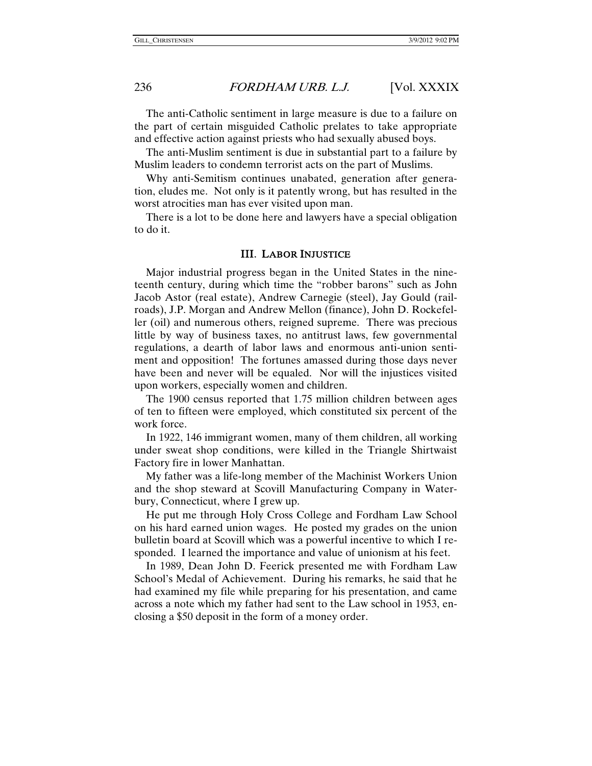The anti-Catholic sentiment in large measure is due to a failure on the part of certain misguided Catholic prelates to take appropriate and effective action against priests who had sexually abused boys.

The anti-Muslim sentiment is due in substantial part to a failure by Muslim leaders to condemn terrorist acts on the part of Muslims.

Why anti-Semitism continues unabated, generation after generation, eludes me. Not only is it patently wrong, but has resulted in the worst atrocities man has ever visited upon man.

There is a lot to be done here and lawyers have a special obligation to do it.

#### III. LABOR INJUSTICE

Major industrial progress began in the United States in the nineteenth century, during which time the "robber barons" such as John Jacob Astor (real estate), Andrew Carnegie (steel), Jay Gould (railroads), J.P. Morgan and Andrew Mellon (finance), John D. Rockefeller (oil) and numerous others, reigned supreme. There was precious little by way of business taxes, no antitrust laws, few governmental regulations, a dearth of labor laws and enormous anti-union sentiment and opposition! The fortunes amassed during those days never have been and never will be equaled. Nor will the injustices visited upon workers, especially women and children.

The 1900 census reported that 1.75 million children between ages of ten to fifteen were employed, which constituted six percent of the work force.

In 1922, 146 immigrant women, many of them children, all working under sweat shop conditions, were killed in the Triangle Shirtwaist Factory fire in lower Manhattan.

My father was a life-long member of the Machinist Workers Union and the shop steward at Scovill Manufacturing Company in Waterbury, Connecticut, where I grew up.

He put me through Holy Cross College and Fordham Law School on his hard earned union wages. He posted my grades on the union bulletin board at Scovill which was a powerful incentive to which I responded. I learned the importance and value of unionism at his feet.

In 1989, Dean John D. Feerick presented me with Fordham Law School's Medal of Achievement. During his remarks, he said that he had examined my file while preparing for his presentation, and came across a note which my father had sent to the Law school in 1953, enclosing a \$50 deposit in the form of a money order.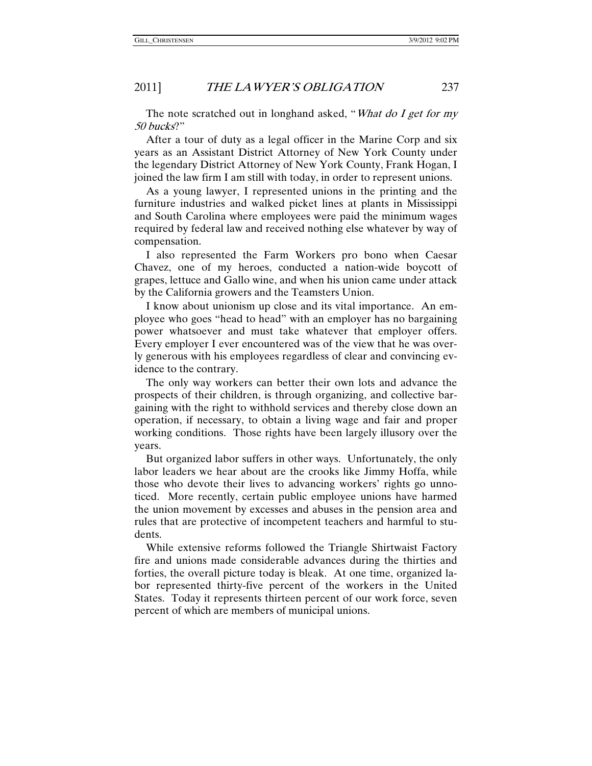The note scratched out in longhand asked, "What do I get for my 50 bucks?"

After a tour of duty as a legal officer in the Marine Corp and six years as an Assistant District Attorney of New York County under the legendary District Attorney of New York County, Frank Hogan, I joined the law firm I am still with today, in order to represent unions.

As a young lawyer, I represented unions in the printing and the furniture industries and walked picket lines at plants in Mississippi and South Carolina where employees were paid the minimum wages required by federal law and received nothing else whatever by way of compensation.

I also represented the Farm Workers pro bono when Caesar Chavez, one of my heroes, conducted a nation-wide boycott of grapes, lettuce and Gallo wine, and when his union came under attack by the California growers and the Teamsters Union.

I know about unionism up close and its vital importance. An employee who goes "head to head" with an employer has no bargaining power whatsoever and must take whatever that employer offers. Every employer I ever encountered was of the view that he was overly generous with his employees regardless of clear and convincing evidence to the contrary.

The only way workers can better their own lots and advance the prospects of their children, is through organizing, and collective bargaining with the right to withhold services and thereby close down an operation, if necessary, to obtain a living wage and fair and proper working conditions. Those rights have been largely illusory over the years.

But organized labor suffers in other ways. Unfortunately, the only labor leaders we hear about are the crooks like Jimmy Hoffa, while those who devote their lives to advancing workers' rights go unnoticed. More recently, certain public employee unions have harmed the union movement by excesses and abuses in the pension area and rules that are protective of incompetent teachers and harmful to students.

While extensive reforms followed the Triangle Shirtwaist Factory fire and unions made considerable advances during the thirties and forties, the overall picture today is bleak. At one time, organized labor represented thirty-five percent of the workers in the United States. Today it represents thirteen percent of our work force, seven percent of which are members of municipal unions.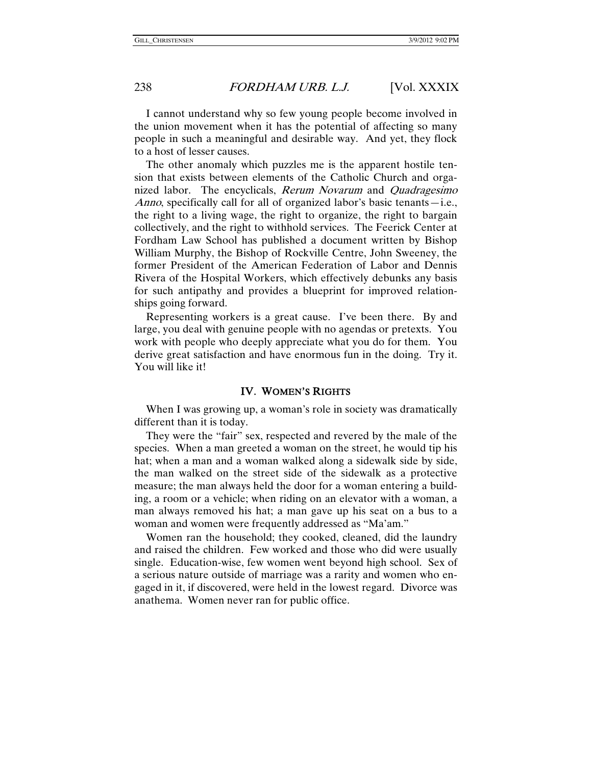I cannot understand why so few young people become involved in the union movement when it has the potential of affecting so many people in such a meaningful and desirable way. And yet, they flock to a host of lesser causes.

The other anomaly which puzzles me is the apparent hostile tension that exists between elements of the Catholic Church and organized labor. The encyclicals, Rerum Novarum and Quadragesimo Anno, specifically call for all of organized labor's basic tenants—i.e., the right to a living wage, the right to organize, the right to bargain collectively, and the right to withhold services. The Feerick Center at Fordham Law School has published a document written by Bishop William Murphy, the Bishop of Rockville Centre, John Sweeney, the former President of the American Federation of Labor and Dennis Rivera of the Hospital Workers, which effectively debunks any basis for such antipathy and provides a blueprint for improved relationships going forward.

Representing workers is a great cause. I've been there. By and large, you deal with genuine people with no agendas or pretexts. You work with people who deeply appreciate what you do for them. You derive great satisfaction and have enormous fun in the doing. Try it. You will like it!

#### IV. WOMEN'S RIGHTS

When I was growing up, a woman's role in society was dramatically different than it is today.

They were the "fair" sex, respected and revered by the male of the species. When a man greeted a woman on the street, he would tip his hat; when a man and a woman walked along a sidewalk side by side, the man walked on the street side of the sidewalk as a protective measure; the man always held the door for a woman entering a building, a room or a vehicle; when riding on an elevator with a woman, a man always removed his hat; a man gave up his seat on a bus to a woman and women were frequently addressed as "Ma'am."

Women ran the household; they cooked, cleaned, did the laundry and raised the children. Few worked and those who did were usually single. Education-wise, few women went beyond high school. Sex of a serious nature outside of marriage was a rarity and women who engaged in it, if discovered, were held in the lowest regard. Divorce was anathema. Women never ran for public office.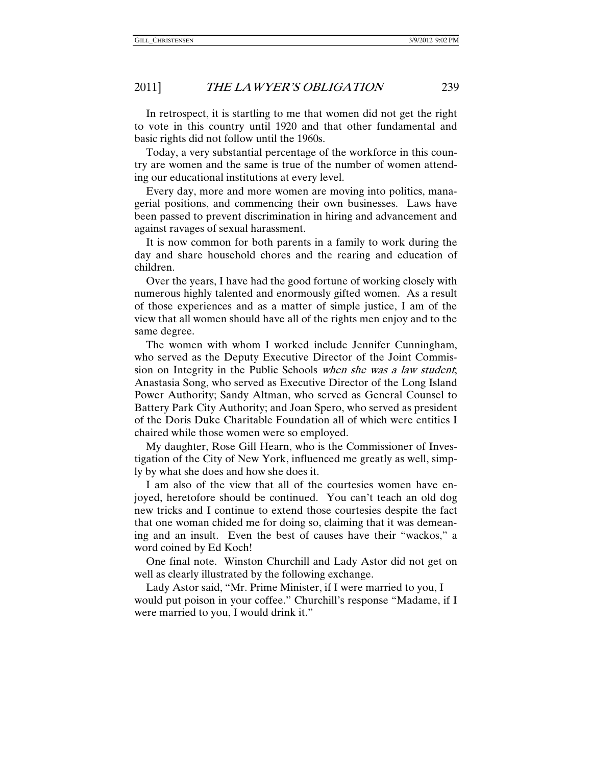In retrospect, it is startling to me that women did not get the right to vote in this country until 1920 and that other fundamental and basic rights did not follow until the 1960s.

Today, a very substantial percentage of the workforce in this country are women and the same is true of the number of women attending our educational institutions at every level.

Every day, more and more women are moving into politics, managerial positions, and commencing their own businesses. Laws have been passed to prevent discrimination in hiring and advancement and against ravages of sexual harassment.

It is now common for both parents in a family to work during the day and share household chores and the rearing and education of children.

Over the years, I have had the good fortune of working closely with numerous highly talented and enormously gifted women. As a result of those experiences and as a matter of simple justice, I am of the view that all women should have all of the rights men enjoy and to the same degree.

The women with whom I worked include Jennifer Cunningham, who served as the Deputy Executive Director of the Joint Commission on Integrity in the Public Schools when she was a law student; Anastasia Song, who served as Executive Director of the Long Island Power Authority; Sandy Altman, who served as General Counsel to Battery Park City Authority; and Joan Spero, who served as president of the Doris Duke Charitable Foundation all of which were entities I chaired while those women were so employed.

My daughter, Rose Gill Hearn, who is the Commissioner of Investigation of the City of New York, influenced me greatly as well, simply by what she does and how she does it.

I am also of the view that all of the courtesies women have enjoyed, heretofore should be continued. You can't teach an old dog new tricks and I continue to extend those courtesies despite the fact that one woman chided me for doing so, claiming that it was demeaning and an insult. Even the best of causes have their "wackos," a word coined by Ed Koch!

One final note. Winston Churchill and Lady Astor did not get on well as clearly illustrated by the following exchange.

Lady Astor said, "Mr. Prime Minister, if I were married to you, I would put poison in your coffee." Churchill's response "Madame, if I were married to you, I would drink it."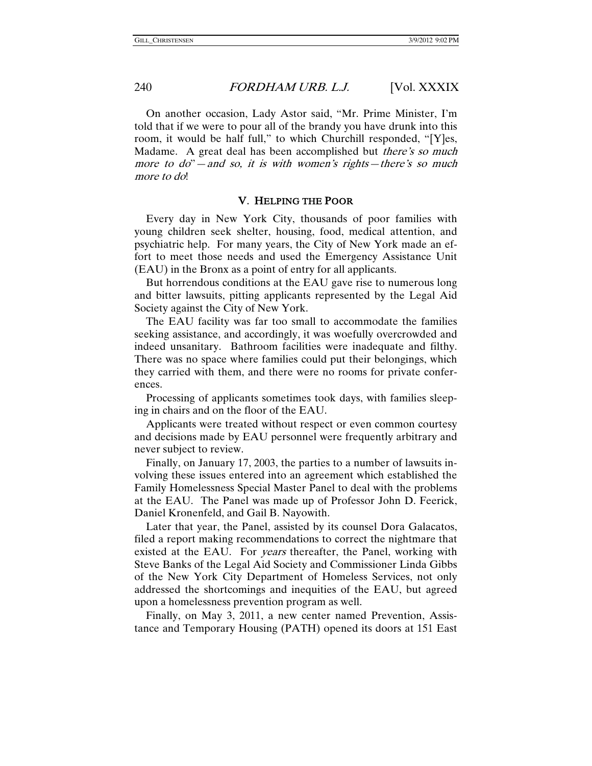On another occasion, Lady Astor said, "Mr. Prime Minister, I'm told that if we were to pour all of the brandy you have drunk into this room, it would be half full," to which Churchill responded, "[Y]es, Madame. A great deal has been accomplished but *there's so much* more to  $d\ddot{o}$  – and so, it is with women's rights—there's so much more to do!

#### V. HELPING THE POOR

Every day in New York City, thousands of poor families with young children seek shelter, housing, food, medical attention, and psychiatric help. For many years, the City of New York made an effort to meet those needs and used the Emergency Assistance Unit (EAU) in the Bronx as a point of entry for all applicants.

But horrendous conditions at the EAU gave rise to numerous long and bitter lawsuits, pitting applicants represented by the Legal Aid Society against the City of New York.

The EAU facility was far too small to accommodate the families seeking assistance, and accordingly, it was woefully overcrowded and indeed unsanitary. Bathroom facilities were inadequate and filthy. There was no space where families could put their belongings, which they carried with them, and there were no rooms for private conferences.

Processing of applicants sometimes took days, with families sleeping in chairs and on the floor of the EAU.

Applicants were treated without respect or even common courtesy and decisions made by EAU personnel were frequently arbitrary and never subject to review.

Finally, on January 17, 2003, the parties to a number of lawsuits involving these issues entered into an agreement which established the Family Homelessness Special Master Panel to deal with the problems at the EAU. The Panel was made up of Professor John D. Feerick, Daniel Kronenfeld, and Gail B. Nayowith.

Later that year, the Panel, assisted by its counsel Dora Galacatos, filed a report making recommendations to correct the nightmare that existed at the EAU. For *years* thereafter, the Panel, working with Steve Banks of the Legal Aid Society and Commissioner Linda Gibbs of the New York City Department of Homeless Services, not only addressed the shortcomings and inequities of the EAU, but agreed upon a homelessness prevention program as well.

Finally, on May 3, 2011, a new center named Prevention, Assistance and Temporary Housing (PATH) opened its doors at 151 East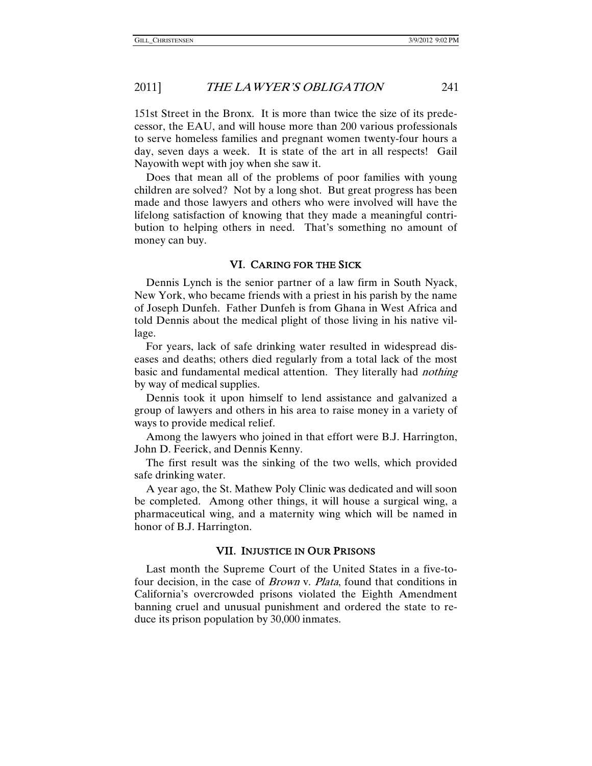151st Street in the Bronx. It is more than twice the size of its predecessor, the EAU, and will house more than 200 various professionals to serve homeless families and pregnant women twenty-four hours a day, seven days a week. It is state of the art in all respects! Gail Nayowith wept with joy when she saw it.

Does that mean all of the problems of poor families with young children are solved? Not by a long shot. But great progress has been made and those lawyers and others who were involved will have the lifelong satisfaction of knowing that they made a meaningful contribution to helping others in need. That's something no amount of money can buy.

#### VI. CARING FOR THE SICK

Dennis Lynch is the senior partner of a law firm in South Nyack, New York, who became friends with a priest in his parish by the name of Joseph Dunfeh. Father Dunfeh is from Ghana in West Africa and told Dennis about the medical plight of those living in his native village.

For years, lack of safe drinking water resulted in widespread diseases and deaths; others died regularly from a total lack of the most basic and fundamental medical attention. They literally had *nothing* by way of medical supplies.

Dennis took it upon himself to lend assistance and galvanized a group of lawyers and others in his area to raise money in a variety of ways to provide medical relief.

Among the lawyers who joined in that effort were B.J. Harrington, John D. Feerick, and Dennis Kenny.

The first result was the sinking of the two wells, which provided safe drinking water.

A year ago, the St. Mathew Poly Clinic was dedicated and will soon be completed. Among other things, it will house a surgical wing, a pharmaceutical wing, and a maternity wing which will be named in honor of B.J. Harrington.

#### VII. INJUSTICE IN OUR PRISONS

Last month the Supreme Court of the United States in a five-tofour decision, in the case of Brown v. Plata, found that conditions in California's overcrowded prisons violated the Eighth Amendment banning cruel and unusual punishment and ordered the state to reduce its prison population by 30,000 inmates.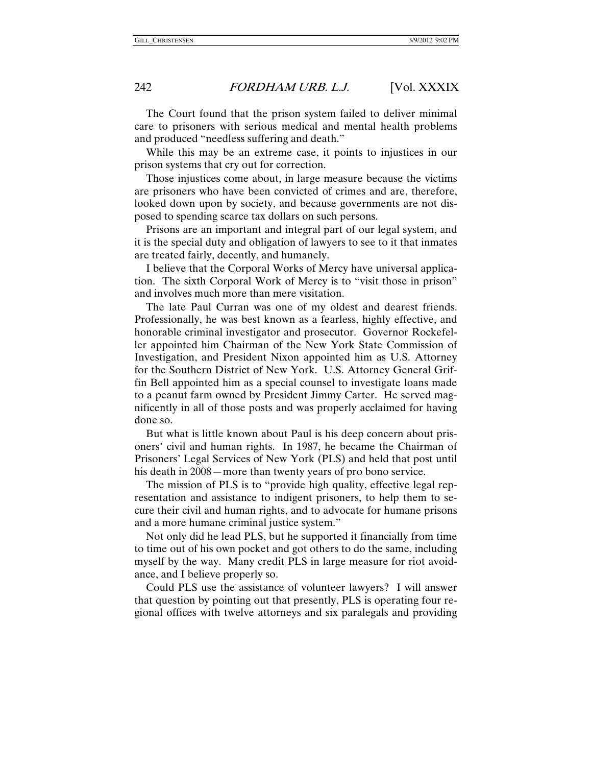The Court found that the prison system failed to deliver minimal care to prisoners with serious medical and mental health problems and produced "needless suffering and death."

While this may be an extreme case, it points to injustices in our prison systems that cry out for correction.

Those injustices come about, in large measure because the victims are prisoners who have been convicted of crimes and are, therefore, looked down upon by society, and because governments are not disposed to spending scarce tax dollars on such persons.

Prisons are an important and integral part of our legal system, and it is the special duty and obligation of lawyers to see to it that inmates are treated fairly, decently, and humanely.

I believe that the Corporal Works of Mercy have universal application. The sixth Corporal Work of Mercy is to "visit those in prison" and involves much more than mere visitation.

The late Paul Curran was one of my oldest and dearest friends. Professionally, he was best known as a fearless, highly effective, and honorable criminal investigator and prosecutor. Governor Rockefeller appointed him Chairman of the New York State Commission of Investigation, and President Nixon appointed him as U.S. Attorney for the Southern District of New York. U.S. Attorney General Griffin Bell appointed him as a special counsel to investigate loans made to a peanut farm owned by President Jimmy Carter. He served magnificently in all of those posts and was properly acclaimed for having done so.

But what is little known about Paul is his deep concern about prisoners' civil and human rights. In 1987, he became the Chairman of Prisoners' Legal Services of New York (PLS) and held that post until his death in 2008—more than twenty years of pro bono service.

The mission of PLS is to "provide high quality, effective legal representation and assistance to indigent prisoners, to help them to secure their civil and human rights, and to advocate for humane prisons and a more humane criminal justice system."

Not only did he lead PLS, but he supported it financially from time to time out of his own pocket and got others to do the same, including myself by the way. Many credit PLS in large measure for riot avoidance, and I believe properly so.

Could PLS use the assistance of volunteer lawyers? I will answer that question by pointing out that presently, PLS is operating four regional offices with twelve attorneys and six paralegals and providing